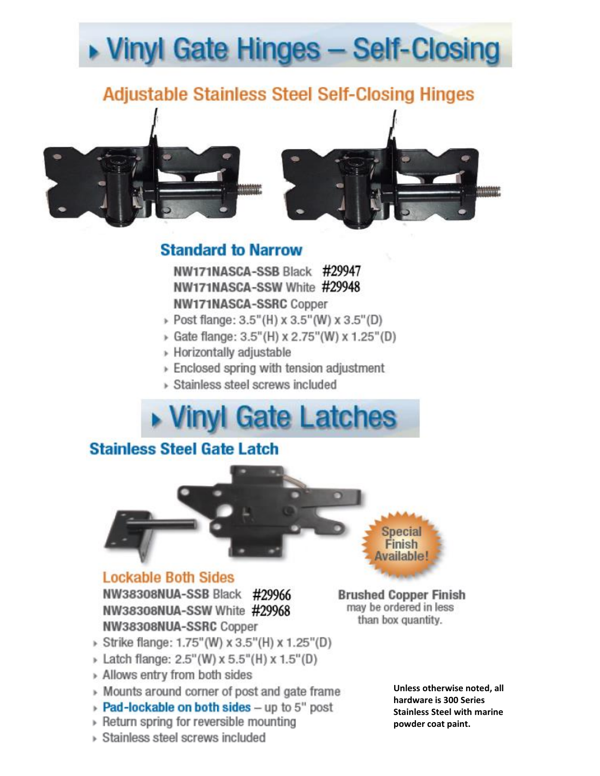# ▶ Vinyl Gate Hinges - Self-Closing

## **Adjustable Stainless Steel Self-Closing Hinges**



### **Standard to Narrow**

NW171NASCA-SSB Black #29947 NW171NASCA-SSW White #29948 **NW171NASCA-SSRC Copper** 

- > Post flange: 3.5"(H) x 3.5"(W) x 3.5"(D)
- → Gate flange: 3.5"(H) x 2.75"(W) x 1.25"(D)
- ▶ Horizontally adjustable
- ▶ Enclosed spring with tension adjustment
- > Stainless steel screws included

# ▶ Vinyl Gate Latches

## **Stainless Steel Gate Latch**



#### **Lockable Both Sides** NW38308NUA-SSB Black #29966

NW38308NUA-SSW White #29968 NW38308NUA-SSRC Copper

**Brushed Copper Finish** may be ordered in less than box quantity.

- > Strike flange: 1.75" (W) x 3.5" (H) x 1.25" (D)
- > Latch flange: 2.5"(W) x 5.5"(H) x 1.5"(D)
- » Allows entry from both sides
- » Mounts around corner of post and gate frame
- ▶ Pad-lockable on both sides up to 5" post
- » Return spring for reversible mounting
- ▶ Stainless steel screws included

Unless otherwise noted, all hardware is 300 Series **Stainless Steel with marine** powder coat paint.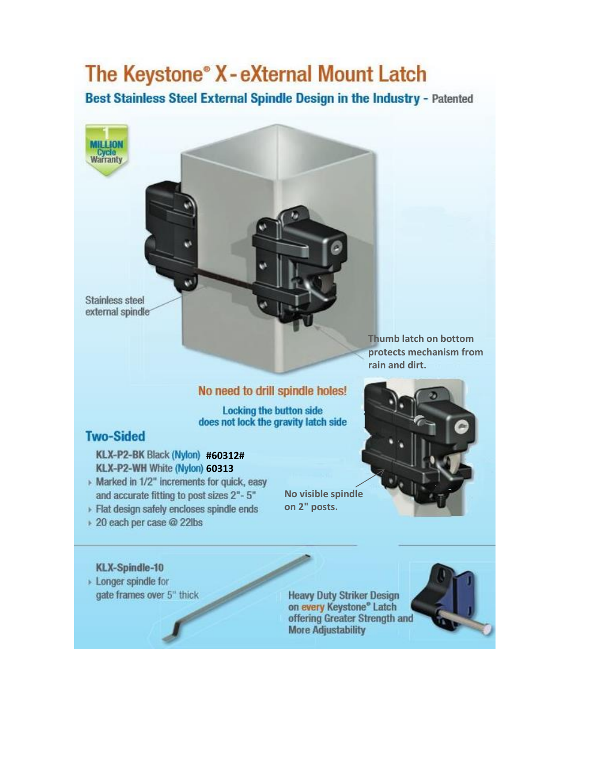## The Keystone® X-eXternal Mount Latch

Best Stainless Steel External Spindle Design in the Industry - Patented

Stainless steel external spindle

**MILLION** Cycle<br>Warranty

> Thumb latch on bottom protects mechanism from rain and dirt.

#### No need to drill spindle holes!

**Locking the button side** does not lock the gravity latch side

#### **Two-Sided**

KLX-P2-BK Black (Nylon) #60312# KLX-P2-WH White (Nylon) 60313

- Marked in 1/2" increments for quick, easy and accurate fitting to post sizes 2"-5"
- > Flat design safely encloses spindle ends
- ▶ 20 each per case @ 22lbs

# on 2" posts.

#### **KLX-Spindle-10**

> Longer spindle for gate frames over 5" thick

**Heavy Duty Striker Design** on every Keystone® Latch offering Greater Strength and **More Adjustability** 



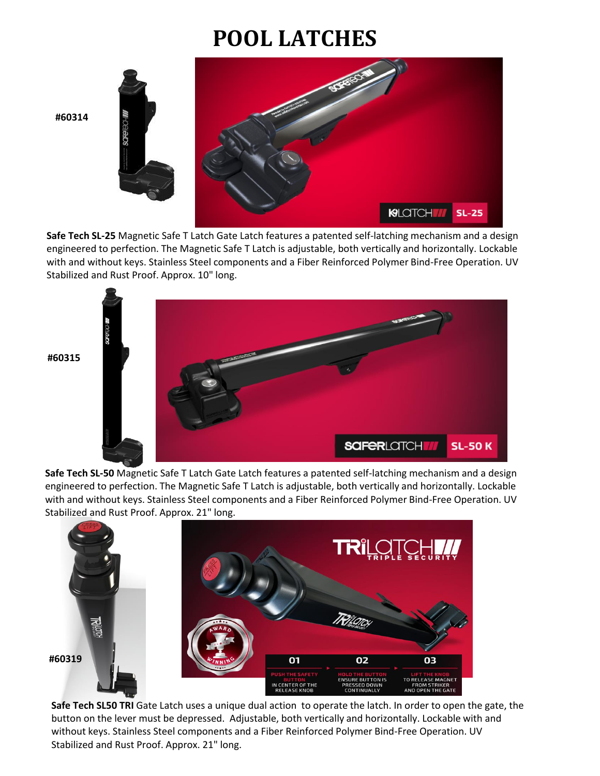# **POOL LATCHES**

**#60314**



**Safe Tech SL-25** Magnetic Safe T Latch Gate Latch features a patented self-latching mechanism and a design engineered to perfection. The Magnetic Safe T Latch is adjustable, both vertically and horizontally. Lockable with and without keys. Stainless Steel components and a Fiber Reinforced Polymer Bind-Free Operation. UV Stabilized and Rust Proof. Approx. 10" long.



**Safe Tech SL-50** Magnetic Safe T Latch Gate Latch features a patented self-latching mechanism and a design engineered to perfection. The Magnetic Safe T Latch is adjustable, both vertically and horizontally. Lockable with and without keys. Stainless Steel components and a Fiber Reinforced Polymer Bind-Free Operation. UV Stabilized and Rust Proof. Approx. 21" long.



**Safe Tech SL50 TRI** Gate Latch uses a unique dual action to operate the latch. In order to open the gate, the button on the lever must be depressed. Adjustable, both vertically and horizontally. Lockable with and without keys. Stainless Steel components and a Fiber Reinforced Polymer Bind-Free Operation. UV Stabilized and Rust Proof. Approx. 21" long.